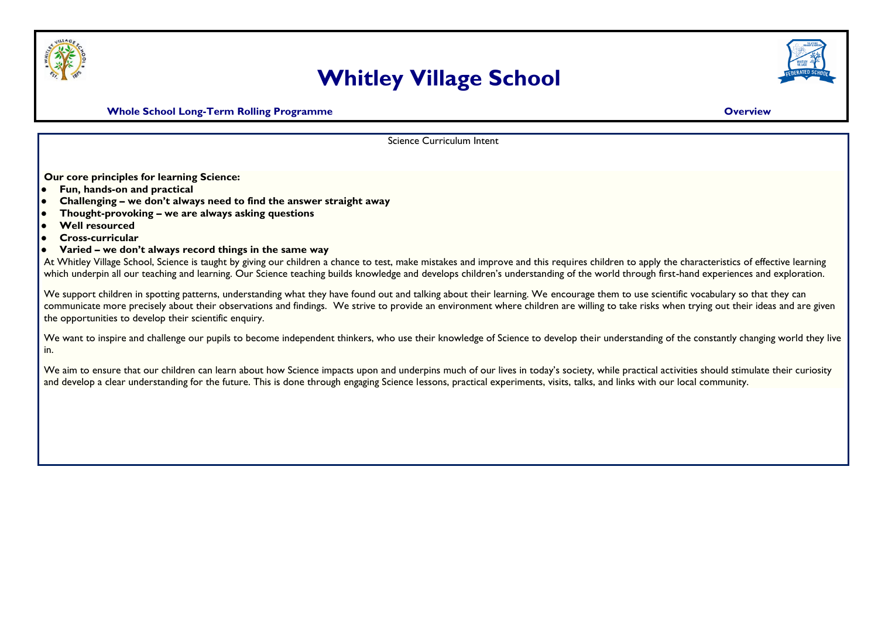

## **Whitley Village School**



**Whole School Long-Term Rolling Programme Construction Construction Construction Construction Construction Construction Construction Construction Construction Construction Construction Construction Construction Constructio** 

Science Curriculum Intent

**Our core principles for learning Science:**

- **Fun, hands-on and practical**
- **Challenging – we don't always need to find the answer straight away**
- **Thought-provoking – we are always asking questions**
- **Well resourced**
- **Cross-curricular**
- **Varied – we don't always record things in the same way**

At Whitley Village School, Science is taught by giving our children a chance to test, make mistakes and improve and this requires children to apply the characteristics of effective learning which underpin all our teaching and learning. Our Science teaching builds knowledge and develops children's understanding of the world through first-hand experiences and exploration.

We support children in spotting patterns, understanding what they have found out and talking about their learning. We encourage them to use scientific vocabulary so that they can communicate more precisely about their observations and findings. We strive to provide an environment where children are willing to take risks when trying out their ideas and are given the opportunities to develop their scientific enquiry.

We want to inspire and challenge our pupils to become independent thinkers, who use their knowledge of Science to develop their understanding of the constantly changing world they live in.

We aim to ensure that our children can learn about how Science impacts upon and underpins much of our lives in today's society, while practical activities should stimulate their curiosity and develop a clear understanding for the future. This is done through engaging Science lessons, practical experiments, visits, talks, and links with our local community.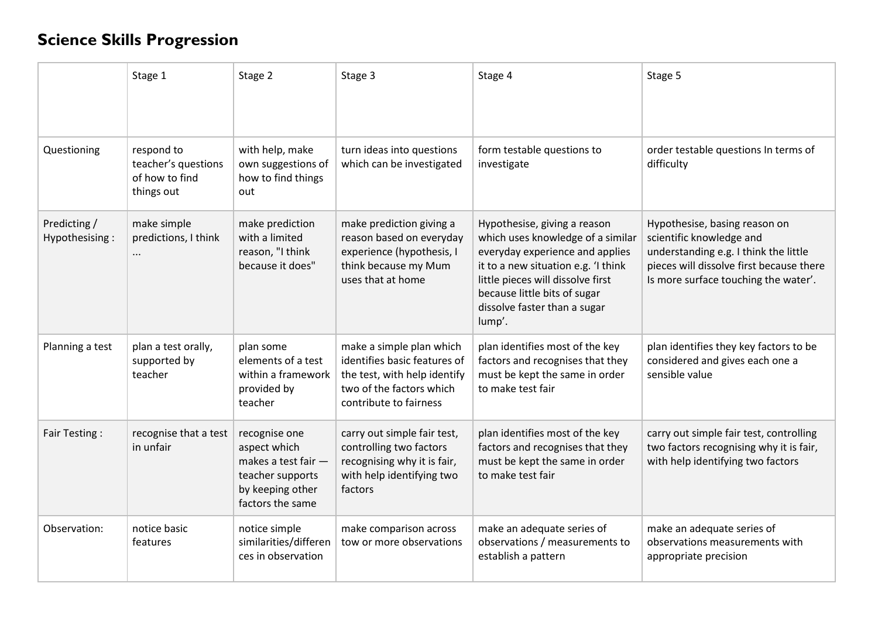## **Science Skills Progression**

|                                | Stage 1                                                           | Stage 2                                                                                                          | Stage 3                                                                                                                                        | Stage 4                                                                                                                                                                                                                                                    | Stage 5                                                                                                                                                                                |
|--------------------------------|-------------------------------------------------------------------|------------------------------------------------------------------------------------------------------------------|------------------------------------------------------------------------------------------------------------------------------------------------|------------------------------------------------------------------------------------------------------------------------------------------------------------------------------------------------------------------------------------------------------------|----------------------------------------------------------------------------------------------------------------------------------------------------------------------------------------|
| Questioning                    | respond to<br>teacher's questions<br>of how to find<br>things out | with help, make<br>own suggestions of<br>how to find things<br>out                                               | turn ideas into questions<br>which can be investigated                                                                                         | form testable questions to<br>investigate                                                                                                                                                                                                                  | order testable questions In terms of<br>difficulty                                                                                                                                     |
| Predicting /<br>Hypothesising: | make simple<br>predictions, I think<br>                           | make prediction<br>with a limited<br>reason, "I think<br>because it does"                                        | make prediction giving a<br>reason based on everyday<br>experience (hypothesis, I<br>think because my Mum<br>uses that at home                 | Hypothesise, giving a reason<br>which uses knowledge of a similar<br>everyday experience and applies<br>it to a new situation e.g. 'I think<br>little pieces will dissolve first<br>because little bits of sugar<br>dissolve faster than a sugar<br>lump'. | Hypothesise, basing reason on<br>scientific knowledge and<br>understanding e.g. I think the little<br>pieces will dissolve first because there<br>Is more surface touching the water'. |
| Planning a test                | plan a test orally,<br>supported by<br>teacher                    | plan some<br>elements of a test<br>within a framework<br>provided by<br>teacher                                  | make a simple plan which<br>identifies basic features of<br>the test, with help identify<br>two of the factors which<br>contribute to fairness | plan identifies most of the key<br>factors and recognises that they<br>must be kept the same in order<br>to make test fair                                                                                                                                 | plan identifies they key factors to be<br>considered and gives each one a<br>sensible value                                                                                            |
| Fair Testing:                  | recognise that a test<br>in unfair                                | recognise one<br>aspect which<br>makes a test fair -<br>teacher supports<br>by keeping other<br>factors the same | carry out simple fair test,<br>controlling two factors<br>recognising why it is fair,<br>with help identifying two<br>factors                  | plan identifies most of the key<br>factors and recognises that they<br>must be kept the same in order<br>to make test fair                                                                                                                                 | carry out simple fair test, controlling<br>two factors recognising why it is fair,<br>with help identifying two factors                                                                |
| Observation:                   | notice basic<br>features                                          | notice simple<br>similarities/differen<br>ces in observation                                                     | make comparison across<br>tow or more observations                                                                                             | make an adequate series of<br>observations / measurements to<br>establish a pattern                                                                                                                                                                        | make an adequate series of<br>observations measurements with<br>appropriate precision                                                                                                  |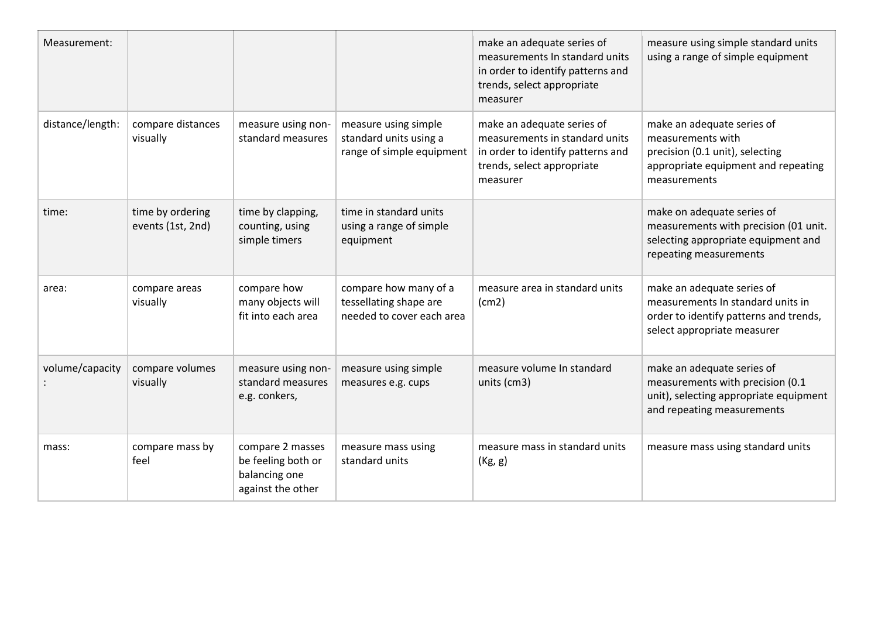| Measurement:     |                                       |                                                                              |                                                                              | make an adequate series of<br>measurements In standard units<br>in order to identify patterns and<br>trends, select appropriate<br>measurer | measure using simple standard units<br>using a range of simple equipment                                                                  |
|------------------|---------------------------------------|------------------------------------------------------------------------------|------------------------------------------------------------------------------|---------------------------------------------------------------------------------------------------------------------------------------------|-------------------------------------------------------------------------------------------------------------------------------------------|
| distance/length: | compare distances<br>visually         | measure using non-<br>standard measures                                      | measure using simple<br>standard units using a<br>range of simple equipment  | make an adequate series of<br>measurements in standard units<br>in order to identify patterns and<br>trends, select appropriate<br>measurer | make an adequate series of<br>measurements with<br>precision (0.1 unit), selecting<br>appropriate equipment and repeating<br>measurements |
| time:            | time by ordering<br>events (1st, 2nd) | time by clapping,<br>counting, using<br>simple timers                        | time in standard units<br>using a range of simple<br>equipment               |                                                                                                                                             | make on adequate series of<br>measurements with precision (01 unit.<br>selecting appropriate equipment and<br>repeating measurements      |
| area:            | compare areas<br>visually             | compare how<br>many objects will<br>fit into each area                       | compare how many of a<br>tessellating shape are<br>needed to cover each area | measure area in standard units<br>(cm2)                                                                                                     | make an adequate series of<br>measurements In standard units in<br>order to identify patterns and trends,<br>select appropriate measurer  |
| volume/capacity  | compare volumes<br>visually           | measure using non-<br>standard measures<br>e.g. conkers,                     | measure using simple<br>measures e.g. cups                                   | measure volume In standard<br>units (cm3)                                                                                                   | make an adequate series of<br>measurements with precision (0.1<br>unit), selecting appropriate equipment<br>and repeating measurements    |
| mass:            | compare mass by<br>feel               | compare 2 masses<br>be feeling both or<br>balancing one<br>against the other | measure mass using<br>standard units                                         | measure mass in standard units<br>(Kg, g)                                                                                                   | measure mass using standard units                                                                                                         |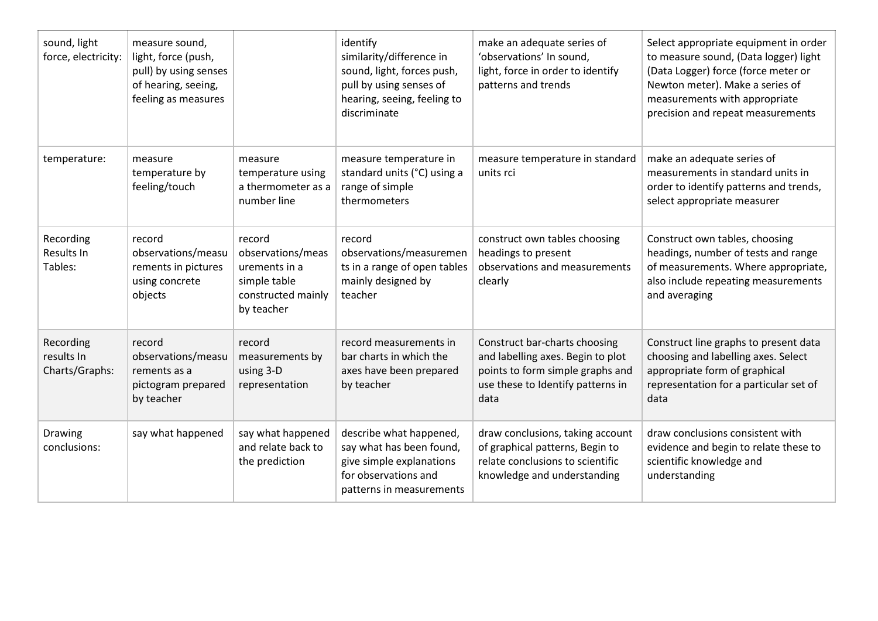| sound, light<br>force, electricity:       | measure sound,<br>light, force (push,<br>pull) by using senses<br>of hearing, seeing,<br>feeling as measures |                                                                                                  | identify<br>similarity/difference in<br>sound, light, forces push,<br>pull by using senses of<br>hearing, seeing, feeling to<br>discriminate | make an adequate series of<br>'observations' In sound,<br>light, force in order to identify<br>patterns and trends                                  | Select appropriate equipment in order<br>to measure sound, (Data logger) light<br>(Data Logger) force (force meter or<br>Newton meter). Make a series of<br>measurements with appropriate<br>precision and repeat measurements |
|-------------------------------------------|--------------------------------------------------------------------------------------------------------------|--------------------------------------------------------------------------------------------------|----------------------------------------------------------------------------------------------------------------------------------------------|-----------------------------------------------------------------------------------------------------------------------------------------------------|--------------------------------------------------------------------------------------------------------------------------------------------------------------------------------------------------------------------------------|
| temperature:                              | measure<br>temperature by<br>feeling/touch                                                                   | measure<br>temperature using<br>a thermometer as a<br>number line                                | measure temperature in<br>standard units (°C) using a<br>range of simple<br>thermometers                                                     | measure temperature in standard<br>units rci                                                                                                        | make an adequate series of<br>measurements in standard units in<br>order to identify patterns and trends,<br>select appropriate measurer                                                                                       |
| Recording<br><b>Results In</b><br>Tables: | record<br>observations/measu<br>rements in pictures<br>using concrete<br>objects                             | record<br>observations/meas<br>urements in a<br>simple table<br>constructed mainly<br>by teacher | record<br>observations/measuremen<br>ts in a range of open tables<br>mainly designed by<br>teacher                                           | construct own tables choosing<br>headings to present<br>observations and measurements<br>clearly                                                    | Construct own tables, choosing<br>headings, number of tests and range<br>of measurements. Where appropriate,<br>also include repeating measurements<br>and averaging                                                           |
| Recording<br>results In<br>Charts/Graphs: | record<br>observations/measu<br>rements as a<br>pictogram prepared<br>by teacher                             | record<br>measurements by<br>using 3-D<br>representation                                         | record measurements in<br>bar charts in which the<br>axes have been prepared<br>by teacher                                                   | Construct bar-charts choosing<br>and labelling axes. Begin to plot<br>points to form simple graphs and<br>use these to Identify patterns in<br>data | Construct line graphs to present data<br>choosing and labelling axes. Select<br>appropriate form of graphical<br>representation for a particular set of<br>data                                                                |
| Drawing<br>conclusions:                   | say what happened                                                                                            | say what happened<br>and relate back to<br>the prediction                                        | describe what happened,<br>say what has been found,<br>give simple explanations<br>for observations and<br>patterns in measurements          | draw conclusions, taking account<br>of graphical patterns, Begin to<br>relate conclusions to scientific<br>knowledge and understanding              | draw conclusions consistent with<br>evidence and begin to relate these to<br>scientific knowledge and<br>understanding                                                                                                         |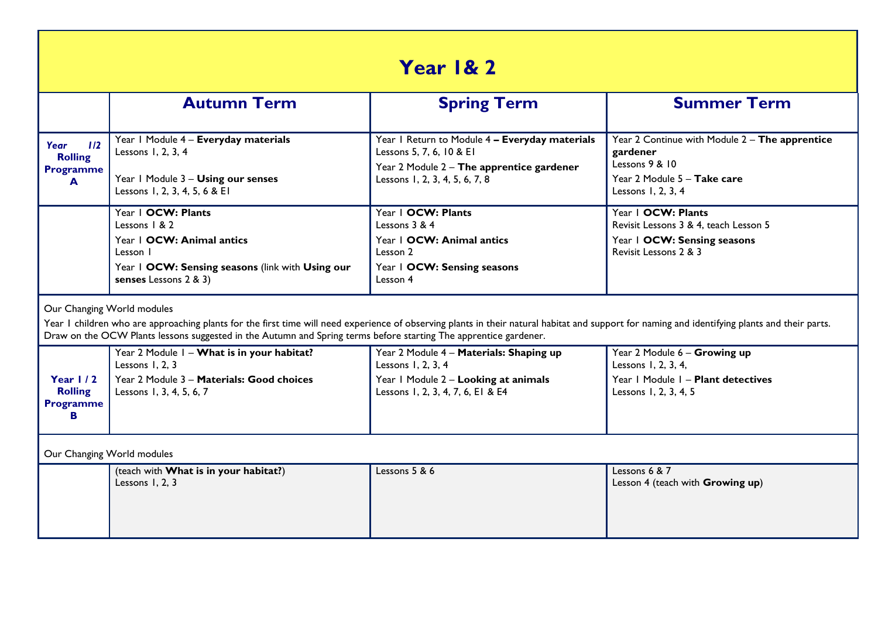| Year 1& 2                                                                                                                                                                                                                                                                                                                                        |                                                                                                                                                             |                                                                                                                                                           |                                                                                                                                   |  |  |
|--------------------------------------------------------------------------------------------------------------------------------------------------------------------------------------------------------------------------------------------------------------------------------------------------------------------------------------------------|-------------------------------------------------------------------------------------------------------------------------------------------------------------|-----------------------------------------------------------------------------------------------------------------------------------------------------------|-----------------------------------------------------------------------------------------------------------------------------------|--|--|
|                                                                                                                                                                                                                                                                                                                                                  | <b>Autumn Term</b>                                                                                                                                          | <b>Spring Term</b>                                                                                                                                        | <b>Summer Term</b>                                                                                                                |  |  |
| 1/2<br>Year<br><b>Rolling</b><br><b>Programme</b><br>A                                                                                                                                                                                                                                                                                           | Year I Module 4 - Everyday materials<br>Lessons 1, 2, 3, 4<br>Year I Module 3 - Using our senses<br>Lessons 1, 2, 3, 4, 5, 6 & EI                           | Year I Return to Module 4 - Everyday materials<br>Lessons 5, 7, 6, 10 & EI<br>Year 2 Module 2 - The apprentice gardener<br>Lessons 1, 2, 3, 4, 5, 6, 7, 8 | Year 2 Continue with Module 2 - The apprentice<br>gardener<br>Lessons 9 & 10<br>Year 2 Module 5 - Take care<br>Lessons 1, 2, 3, 4 |  |  |
|                                                                                                                                                                                                                                                                                                                                                  | Year   OCW: Plants<br>Lessons $1 & 2$<br>Year   OCW: Animal antics<br>Lesson I<br>Year I OCW: Sensing seasons (link with Using our<br>senses Lessons 2 & 3) | Year   OCW: Plants<br>Lessons 3 & 4<br>Year   OCW: Animal antics<br>Lesson 2<br>Year   OCW: Sensing seasons<br>Lesson 4                                   | Year   OCW: Plants<br>Revisit Lessons 3 & 4, teach Lesson 5<br>Year 1 OCW: Sensing seasons<br>Revisit Lessons 2 & 3               |  |  |
| Our Changing World modules<br>Year I children who are approaching plants for the first time will need experience of observing plants in their natural habitat and support for naming and identifying plants and their parts.<br>Draw on the OCW Plants lessons suggested in the Autumn and Spring terms before starting The apprentice gardener. |                                                                                                                                                             |                                                                                                                                                           |                                                                                                                                   |  |  |
| Year $1/2$<br><b>Rolling</b><br><b>Programme</b><br>в                                                                                                                                                                                                                                                                                            | Year 2 Module I - What is in your habitat?<br>Lessons 1, 2, 3<br>Year 2 Module 3 - Materials: Good choices<br>Lessons 1, 3, 4, 5, 6, 7                      | Year 2 Module 4 - Materials: Shaping up<br>Lessons 1, 2, 3, 4<br>Year I Module 2 - Looking at animals<br>Lessons 1, 2, 3, 4, 7, 6, E1 & E4                | Year 2 Module 6 - Growing up<br>Lessons 1, 2, 3, 4,<br>Year   Module   - Plant detectives<br>Lessons 1, 2, 3, 4, 5                |  |  |
| Our Changing World modules                                                                                                                                                                                                                                                                                                                       |                                                                                                                                                             |                                                                                                                                                           |                                                                                                                                   |  |  |
|                                                                                                                                                                                                                                                                                                                                                  | (teach with What is in your habitat?)<br>Lessons 1, 2, 3                                                                                                    | Lessons 5 & 6                                                                                                                                             | Lessons 6 & 7<br>Lesson 4 (teach with Growing up)                                                                                 |  |  |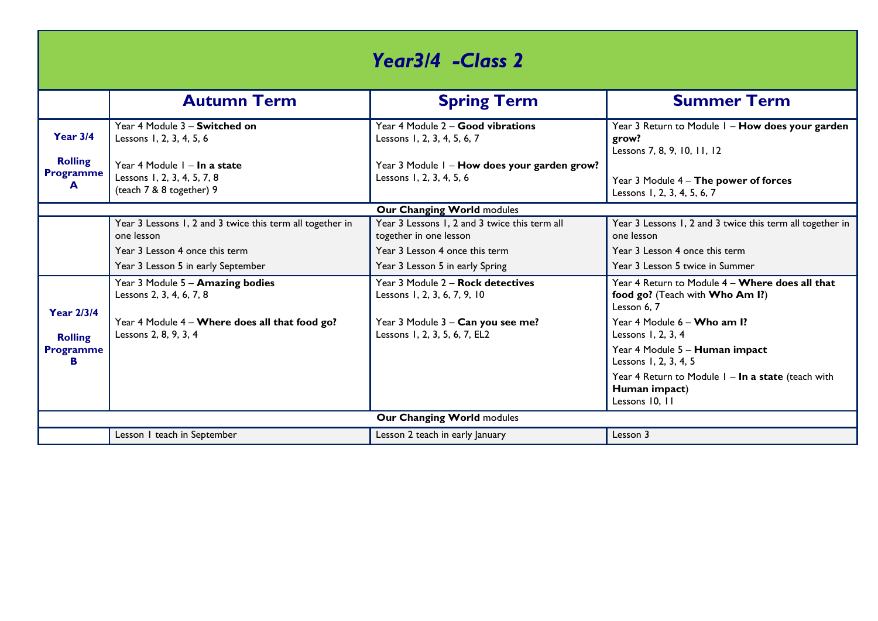| Year3/4 -Class 2                        |                                                                                         |                                                                          |                                                                                                   |  |  |
|-----------------------------------------|-----------------------------------------------------------------------------------------|--------------------------------------------------------------------------|---------------------------------------------------------------------------------------------------|--|--|
|                                         | <b>Autumn Term</b>                                                                      | <b>Spring Term</b>                                                       | <b>Summer Term</b>                                                                                |  |  |
| <b>Year 3/4</b>                         | Year 4 Module 3 - Switched on<br>Lessons 1, 2, 3, 4, 5, 6                               | Year 4 Module 2 - Good vibrations<br>Lessons 1, 2, 3, 4, 5, 6, 7         | Year 3 Return to Module I - How does your garden<br>grow?<br>Lessons 7, 8, 9, 10, 11, 12          |  |  |
| <b>Rolling</b><br><b>Programme</b><br>A | Year 4 Module 1 - In a state<br>Lessons 1, 2, 3, 4, 5, 7, 8<br>(teach 7 & 8 together) 9 | Year 3 Module I - How does your garden grow?<br>Lessons 1, 2, 3, 4, 5, 6 | Year 3 Module 4 - The power of forces<br>Lessons 1, 2, 3, 4, 5, 6, 7                              |  |  |
|                                         |                                                                                         | Our Changing World modules                                               |                                                                                                   |  |  |
|                                         | Year 3 Lessons 1, 2 and 3 twice this term all together in<br>one lesson                 | Year 3 Lessons 1, 2 and 3 twice this term all<br>together in one lesson  | Year 3 Lessons 1, 2 and 3 twice this term all together in<br>one lesson                           |  |  |
|                                         | Year 3 Lesson 4 once this term                                                          | Year 3 Lesson 4 once this term                                           | Year 3 Lesson 4 once this term                                                                    |  |  |
|                                         | Year 3 Lesson 5 in early September                                                      | Year 3 Lesson 5 in early Spring                                          | Year 3 Lesson 5 twice in Summer                                                                   |  |  |
| <b>Year 2/3/4</b>                       | Year 3 Module 5 - Amazing bodies<br>Lessons 2, 3, 4, 6, 7, 8                            | Year 3 Module 2 - Rock detectives<br>Lessons 1, 2, 3, 6, 7, 9, 10        | Year 4 Return to Module 4 - Where does all that<br>food go? (Teach with Who Am I?)<br>Lesson 6, 7 |  |  |
| <b>Rolling</b>                          | Year 4 Module 4 - Where does all that food go?<br>Lessons 2, 8, 9, 3, 4                 | Year 3 Module 3 - Can you see me?<br>Lessons 1, 2, 3, 5, 6, 7, EL2       | Year 4 Module 6 - Who am I?<br>Lessons 1, 2, 3, 4                                                 |  |  |
| <b>Programme</b><br>в                   |                                                                                         |                                                                          | Year 4 Module 5 - Human impact<br>Lessons 1, 2, 3, 4, 5                                           |  |  |
|                                         |                                                                                         |                                                                          | Year 4 Return to Module I - In a state (teach with<br>Human impact)<br>Lessons 10, 11             |  |  |
| Our Changing World modules              |                                                                                         |                                                                          |                                                                                                   |  |  |
|                                         | Lesson I teach in September                                                             | Lesson 2 teach in early January                                          | Lesson 3                                                                                          |  |  |